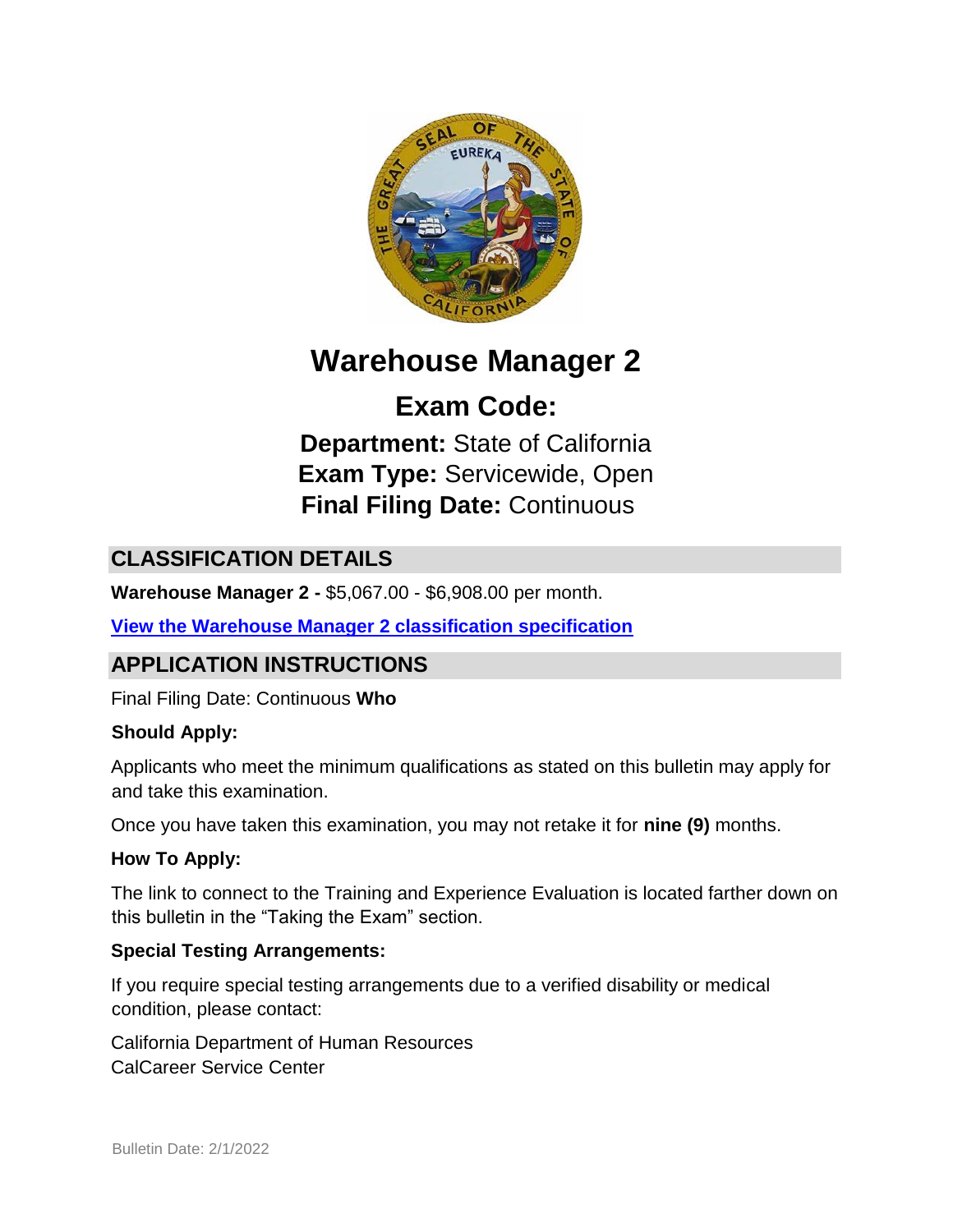

# **Warehouse Manager 2**

# **Exam Code:**

**Department:** State of California **Exam Type:** Servicewide, Open **Final Filing Date:** Continuous

# **CLASSIFICATION DETAILS**

**Warehouse Manager 2 -** \$5,067.00 - \$6,908.00 per month.

**[View the Warehouse Manager 2 classification specification](https://www.calhr.ca.gov/state-hr-professionals/pages/1506.aspx)**

## **APPLICATION INSTRUCTIONS**

Final Filing Date: Continuous **Who** 

#### **Should Apply:**

Applicants who meet the minimum qualifications as stated on this bulletin may apply for and take this examination.

Once you have taken this examination, you may not retake it for **nine (9)** months.

#### **How To Apply:**

The link to connect to the Training and Experience Evaluation is located farther down on this bulletin in the "Taking the Exam" section.

#### **Special Testing Arrangements:**

If you require special testing arrangements due to a verified disability or medical condition, please contact:

California Department of Human Resources CalCareer Service Center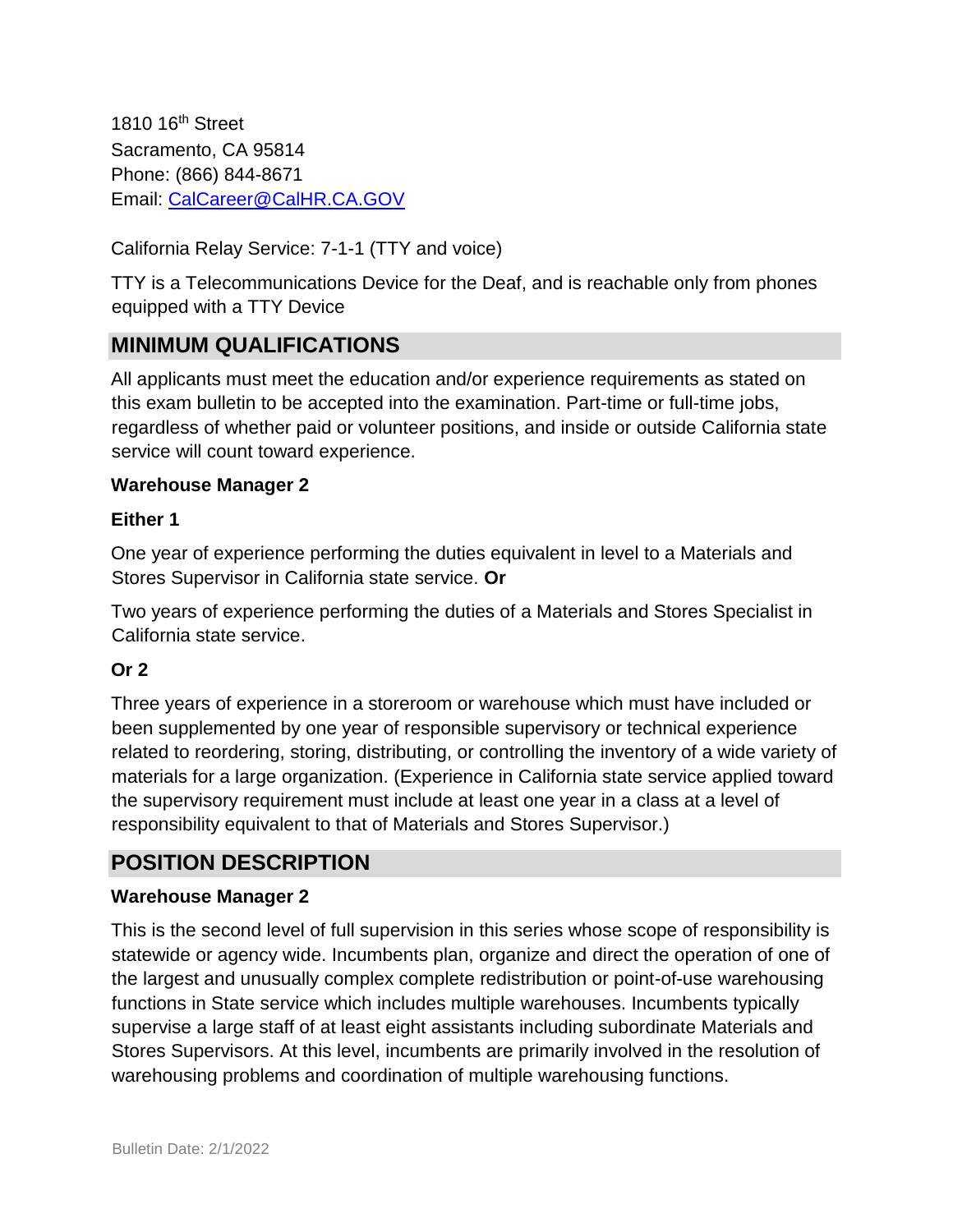1810 16<sup>th</sup> Street Sacramento, CA 95814 Phone: (866) 844-8671 Email: CalCareer@CalHR.CA.GOV

California Relay Service: 7-1-1 (TTY and voice)

TTY is a Telecommunications Device for the Deaf, and is reachable only from phones equipped with a TTY Device

## **MINIMUM QUALIFICATIONS**

All applicants must meet the education and/or experience requirements as stated on this exam bulletin to be accepted into the examination. Part-time or full-time jobs, regardless of whether paid or volunteer positions, and inside or outside California state service will count toward experience.

#### **Warehouse Manager 2**

#### **Either 1**

One year of experience performing the duties equivalent in level to a Materials and Stores Supervisor in California state service. **Or** 

Two years of experience performing the duties of a Materials and Stores Specialist in California state service.

#### **Or 2**

Three years of experience in a storeroom or warehouse which must have included or been supplemented by one year of responsible supervisory or technical experience related to reordering, storing, distributing, or controlling the inventory of a wide variety of materials for a large organization. (Experience in California state service applied toward the supervisory requirement must include at least one year in a class at a level of responsibility equivalent to that of Materials and Stores Supervisor.)

## **POSITION DESCRIPTION**

#### **Warehouse Manager 2**

This is the second level of full supervision in this series whose scope of responsibility is statewide or agency wide. Incumbents plan, organize and direct the operation of one of the largest and unusually complex complete redistribution or point-of-use warehousing functions in State service which includes multiple warehouses. Incumbents typically supervise a large staff of at least eight assistants including subordinate Materials and Stores Supervisors. At this level, incumbents are primarily involved in the resolution of warehousing problems and coordination of multiple warehousing functions.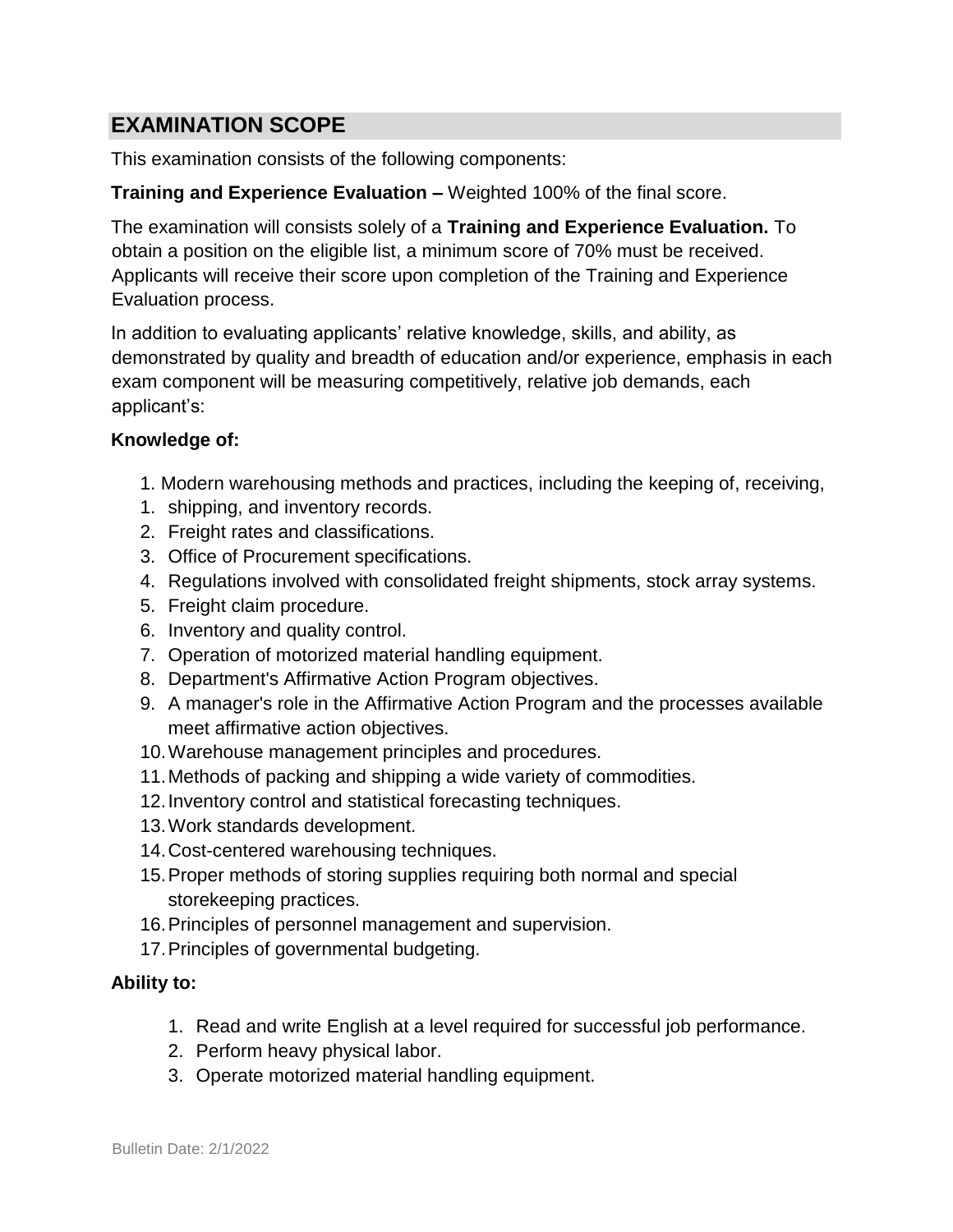## **EXAMINATION SCOPE**

This examination consists of the following components:

#### **Training and Experience Evaluation –** Weighted 100% of the final score.

The examination will consists solely of a **Training and Experience Evaluation.** To obtain a position on the eligible list, a minimum score of 70% must be received. Applicants will receive their score upon completion of the Training and Experience Evaluation process.

In addition to evaluating applicants' relative knowledge, skills, and ability, as demonstrated by quality and breadth of education and/or experience, emphasis in each exam component will be measuring competitively, relative job demands, each applicant's:

#### **Knowledge of:**

- 1. Modern warehousing methods and practices, including the keeping of, receiving,
- 1. shipping, and inventory records.
- 2. Freight rates and classifications.
- 3. Office of Procurement specifications.
- 4. Regulations involved with consolidated freight shipments, stock array systems.
- 5. Freight claim procedure.
- 6. Inventory and quality control.
- 7. Operation of motorized material handling equipment.
- 8. Department's Affirmative Action Program objectives.
- 9. A manager's role in the Affirmative Action Program and the processes available meet affirmative action objectives.
- 10.Warehouse management principles and procedures.
- 11.Methods of packing and shipping a wide variety of commodities.
- 12.Inventory control and statistical forecasting techniques.
- 13.Work standards development.
- 14.Cost-centered warehousing techniques.
- 15.Proper methods of storing supplies requiring both normal and special storekeeping practices.
- 16.Principles of personnel management and supervision.
- 17.Principles of governmental budgeting.

#### **Ability to:**

- 1. Read and write English at a level required for successful job performance.
- 2. Perform heavy physical labor.
- 3. Operate motorized material handling equipment.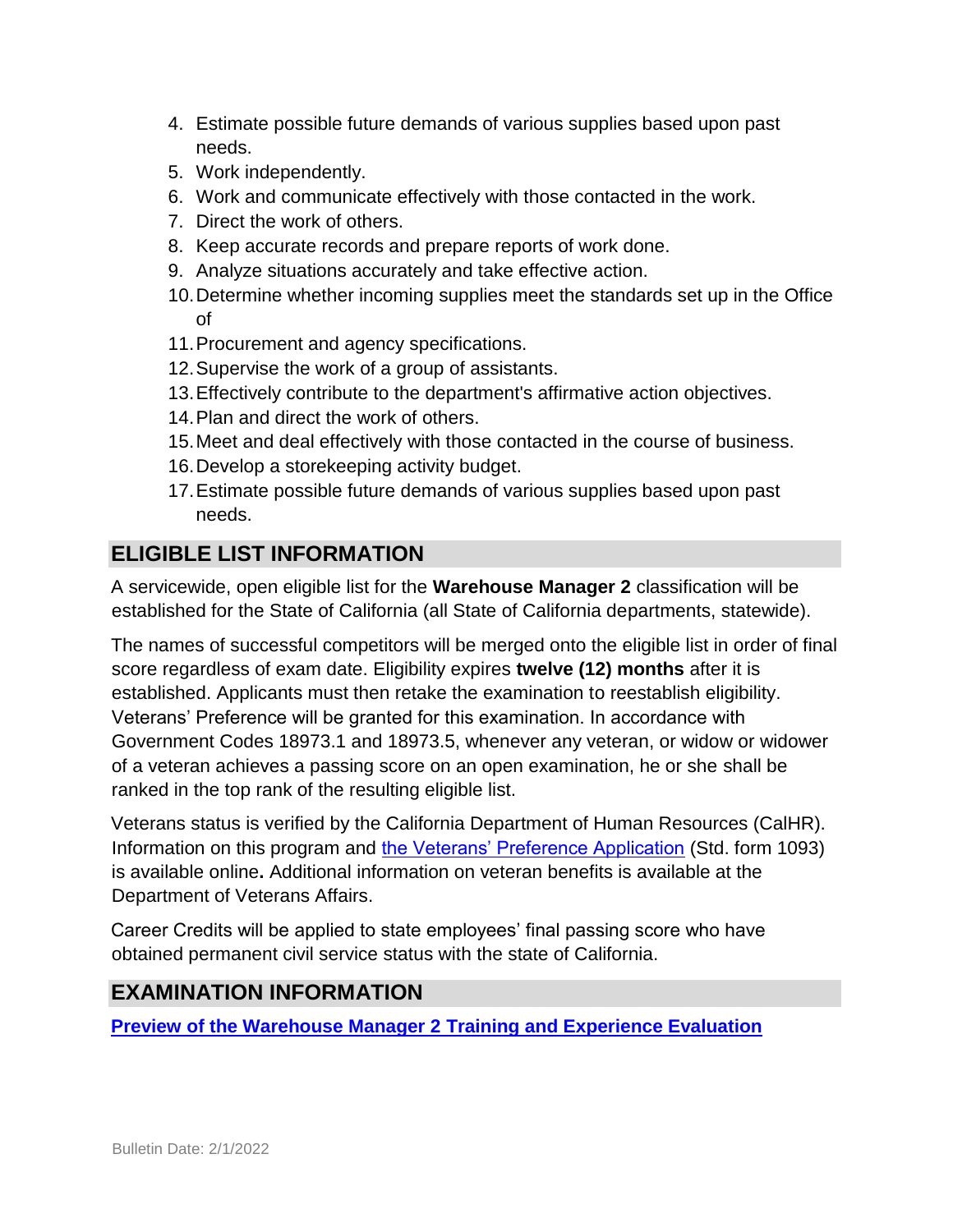- 4. Estimate possible future demands of various supplies based upon past needs.
- 5. Work independently.
- 6. Work and communicate effectively with those contacted in the work.
- 7. Direct the work of others.
- 8. Keep accurate records and prepare reports of work done.
- 9. Analyze situations accurately and take effective action.
- 10.Determine whether incoming supplies meet the standards set up in the Office of
- 11.Procurement and agency specifications.
- 12.Supervise the work of a group of assistants.
- 13.Effectively contribute to the department's affirmative action objectives.
- 14.Plan and direct the work of others.
- 15.Meet and deal effectively with those contacted in the course of business.
- 16.Develop a storekeeping activity budget.
- 17.Estimate possible future demands of various supplies based upon past needs.

## **ELIGIBLE LIST INFORMATION**

A servicewide, open eligible list for the **Warehouse Manager 2** classification will be established for the State of California (all State of California departments, statewide).

The names of successful competitors will be merged onto the eligible list in order of final score regardless of exam date. Eligibility expires **twelve (12) months** after it is established. Applicants must then retake the examination to reestablish eligibility. Veterans' Preference will be granted for this examination. In accordance with Government Codes 18973.1 and 18973.5, whenever any veteran, or widow or widower of a veteran achieves a passing score on an open examination, he or she shall be ranked in the top rank of the resulting eligible list.

Veterans status is verified by the California Department of Human Resources (CalHR). Information on this program and [the Veterans' Preference Application](https://www.jobs.ca.gov/CalHRPublic/Landing/Jobs/VeteransInformation.aspx) [\(](https://www.jobs.ca.gov/CalHRPublic/Landing/Jobs/VeteransInformation.aspx)Std. form 1093) is available online**.** Additional information on veteran benefits is available at the Department of Veterans Affairs.

Career Credits will be applied to state employees' final passing score who have obtained permanent civil service status with the state of California.

## **EXAMINATION INFORMATION**

**[Preview of the Warehouse Manager 2](https://jobs.ca.gov/jobsgen/5PB44E.pdf) [Training and Experience Evaluation](https://jobs.ca.gov/jobsgen/5PB44E.pdf)**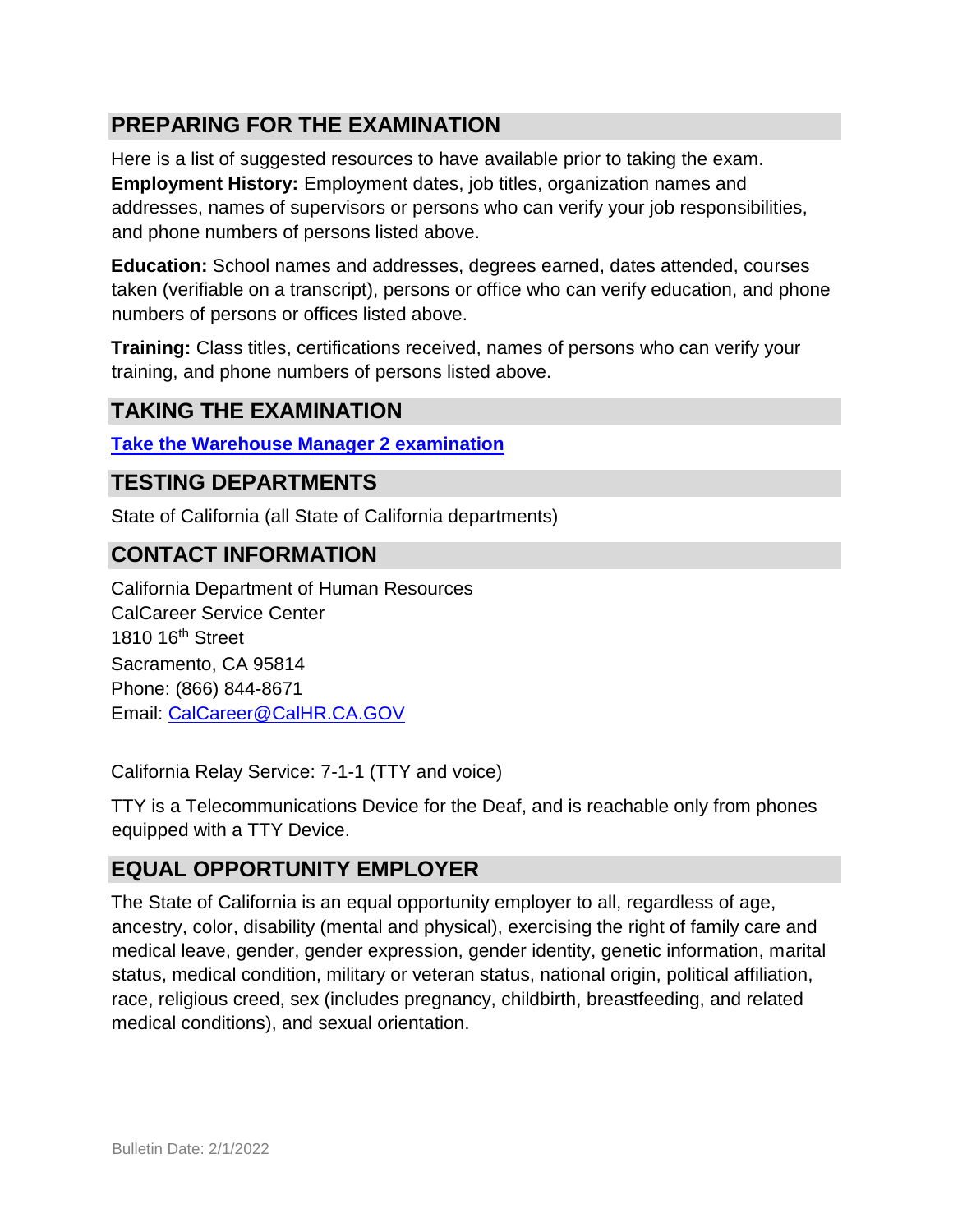## **PREPARING FOR THE EXAMINATION**

Here is a list of suggested resources to have available prior to taking the exam. **Employment History:** Employment dates, job titles, organization names and addresses, names of supervisors or persons who can verify your job responsibilities, and phone numbers of persons listed above.

**Education:** School names and addresses, degrees earned, dates attended, courses taken (verifiable on a transcript), persons or office who can verify education, and phone numbers of persons or offices listed above.

**Training:** Class titles, certifications received, names of persons who can verify your training, and phone numbers of persons listed above.

## **TAKING THE EXAMINATION**

**[Take the](https://jobs.ca.gov/CalHRPublic/Login.aspx?ExamId=5PB44) [Warehouse Manager 2](https://jobs.ca.gov/CalHRPublic/Login.aspx?ExamId=5PB44) [examination](https://jobs.ca.gov/CalHRPublic/Login.aspx?ExamId=5PB44)**

#### **TESTING DEPARTMENTS**

State of California (all State of California departments)

#### **CONTACT INFORMATION**

California Department of Human Resources CalCareer Service Center 1810 16th Street Sacramento, CA 95814 Phone: (866) 844-8671 Email: CalCareer@CalHR.CA.GOV

California Relay Service: 7-1-1 (TTY and voice)

TTY is a Telecommunications Device for the Deaf, and is reachable only from phones equipped with a TTY Device.

#### **EQUAL OPPORTUNITY EMPLOYER**

The State of California is an equal opportunity employer to all, regardless of age, ancestry, color, disability (mental and physical), exercising the right of family care and medical leave, gender, gender expression, gender identity, genetic information, marital status, medical condition, military or veteran status, national origin, political affiliation, race, religious creed, sex (includes pregnancy, childbirth, breastfeeding, and related medical conditions), and sexual orientation.